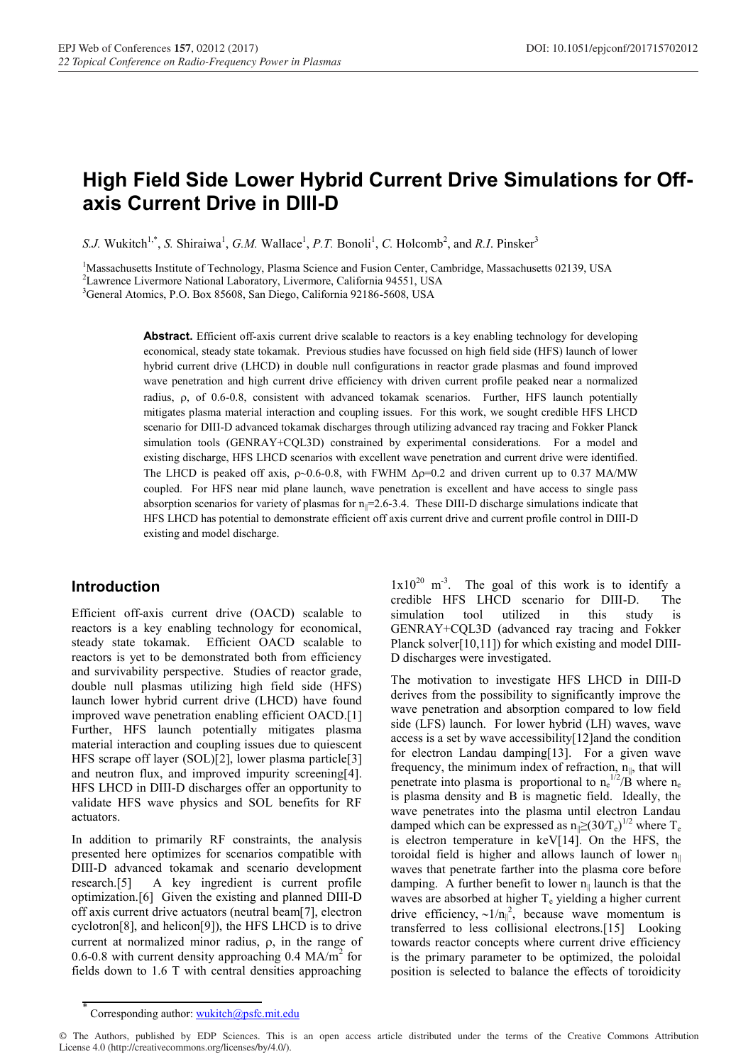# **High Field Side Lower Hybrid Current Drive Simulations for Offaxis Current Drive in DIII-D**

S.J. Wukitch<sup>1,\*</sup>, *S.* Shiraiwa<sup>1</sup>, *G.M.* Wallace<sup>1</sup>, *P.T.* Bonoli<sup>1</sup>, *C.* Holcomb<sup>2</sup>, and *R.I.* Pinsker<sup>3</sup>

<sup>1</sup>Massachusetts Institute of Technology, Plasma Science and Fusion Center, Cambridge, Massachusetts 02139, USA

<sup>2</sup> Lawrence Livermore National Laboratory, Livermore, California 94551, USA

3 General Atomics, P.O. Box 85608, San Diego, California 92186-5608, USA

**Abstract.** Efficient off-axis current drive scalable to reactors is a key enabling technology for developing economical, steady state tokamak. Previous studies have focussed on high field side (HFS) launch of lower hybrid current drive (LHCD) in double null configurations in reactor grade plasmas and found improved wave penetration and high current drive efficiency with driven current profile peaked near a normalized radius,  $\rho$ , of 0.6-0.8, consistent with advanced tokamak scenarios. Further, HFS launch potentially mitigates plasma material interaction and coupling issues. For this work, we sought credible HFS LHCD scenario for DIII-D advanced tokamak discharges through utilizing advanced ray tracing and Fokker Planck simulation tools (GENRAY+CQL3D) constrained by experimental considerations. For a model and existing discharge, HFS LHCD scenarios with excellent wave penetration and current drive were identified. The LHCD is peaked off axis,  $\rho$  -0.6-0.8, with FWHM  $\Delta \rho$ =0.2 and driven current up to 0.37 MA/MW coupled. For HFS near mid plane launch, wave penetration is excellent and have access to single pass absorption scenarios for variety of plasmas for  $n_{\parallel}$ =2.6-3.4. These DIII-D discharge simulations indicate that HFS LHCD has potential to demonstrate efficient off axis current drive and current profile control in DIII-D existing and model discharge.

## **Introduction**

Efficient off-axis current drive (OACD) scalable to reactors is a key enabling technology for economical, steady state tokamak. Efficient OACD scalable to reactors is yet to be demonstrated both from efficiency and survivability perspective. Studies of reactor grade, double null plasmas utilizing high field side (HFS) launch lower hybrid current drive (LHCD) have found improved wave penetration enabling efficient OACD.[1] Further, HFS launch potentially mitigates plasma material interaction and coupling issues due to quiescent HFS scrape off layer (SOL)[2], lower plasma particle[3] and neutron flux, and improved impurity screening[4]. HFS LHCD in DIII-D discharges offer an opportunity to validate HFS wave physics and SOL benefits for RF actuators.

In addition to primarily RF constraints, the analysis presented here optimizes for scenarios compatible with DIII-D advanced tokamak and scenario development research.[5] A key ingredient is current profile optimization.[6] Given the existing and planned DIII-D off axis current drive actuators (neutral beam[7], electron cyclotron[8], and helicon[9]), the HFS LHCD is to drive current at normalized minor radius,  $\rho$ , in the range of 0.6-0.8 with current density approaching 0.4  $MA/m<sup>2</sup>$  for fields down to 1.6 T with central densities approaching

 $1x10^{20}$  m<sup>-3</sup>. The goal of this work is to identify a credible HFS LHCD scenario for DIII-D. The simulation tool utilized in this study is GENRAY+CQL3D (advanced ray tracing and Fokker Planck solver[10,11]) for which existing and model DIII-D discharges were investigated.

The motivation to investigate HFS LHCD in DIII-D derives from the possibility to significantly improve the wave penetration and absorption compared to low field side (LFS) launch. For lower hybrid (LH) waves, wave access is a set by wave accessibility[12]and the condition for electron Landau damping[13]. For a given wave frequency, the minimum index of refraction,  $n_{\parallel}$ , that will penetrate into plasma is proportional to  $n_e^{1/2}/B$  where  $n_e$ is plasma density and B is magnetic field. Ideally, the wave penetrates into the plasma until electron Landau damped which can be expressed as  $n \geq (30T_e)^{1/2}$  where T<sub>e</sub> is electron temperature in keV[14]. On the HFS, the toroidal field is higher and allows launch of lower  $n_{\parallel}$ waves that penetrate farther into the plasma core before damping. A further benefit to lower  $n_{\parallel}$  launch is that the waves are absorbed at higher  $T_e$  yielding a higher current drive efficiency,  $\sim 1/n_{\parallel}^2$ , because wave momentum is transferred to less collisional electrons.[15] Looking towards reactor concepts where current drive efficiency is the primary parameter to be optimized, the poloidal position is selected to balance the effects of toroidicity

<sup>\*</sup> Corresponding author: wukitch@psfc.mit.edu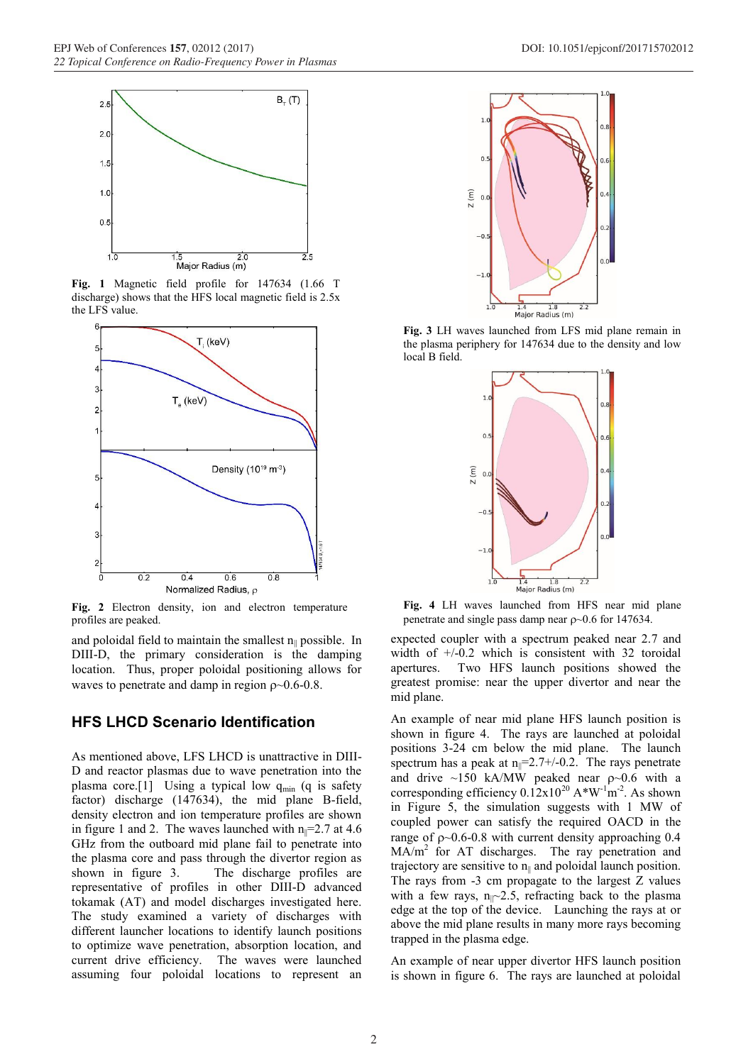

**Fig. 1** Magnetic field profile for 147634 (1.66 T discharge) shows that the HFS local magnetic field is 2.5x the LFS value.



Fig. 2 Electron density, ion and electron temperature profiles are peaked.

and poloidal field to maintain the smallest  $n_{\parallel}$  possible. In DIII-D, the primary consideration is the damping location. Thus, proper poloidal positioning allows for waves to penetrate and damp in region  $\rho \sim 0.6$ -0.8.

## **HFS LHCD Scenario Identification**

As mentioned above, LFS LHCD is unattractive in DIII-D and reactor plasmas due to wave penetration into the plasma core.[1] Using a typical low  $q_{min}$  (q is safety factor) discharge (147634), the mid plane B-field, density electron and ion temperature profiles are shown in figure 1 and 2. The waves launched with  $n_{\parallel} = 2.7$  at 4.6 GHz from the outboard mid plane fail to penetrate into the plasma core and pass through the divertor region as shown in figure 3. The discharge profiles are representative of profiles in other DIII-D advanced tokamak (AT) and model discharges investigated here. The study examined a variety of discharges with different launcher locations to identify launch positions to optimize wave penetration, absorption location, and current drive efficiency. The waves were launched assuming four poloidal locations to represent an



**Fig. 3** LH waves launched from LFS mid plane remain in the plasma periphery for 147634 due to the density and low local B field.



**Fig. 4** LH waves launched from HFS near mid plane penetrate and single pass damp near  $\rho \sim 0.6$  for 147634.

expected coupler with a spectrum peaked near 2.7 and width of  $+/-0.2$  which is consistent with 32 toroidal apertures. Two HFS launch positions showed the greatest promise: near the upper divertor and near the mid plane.

An example of near mid plane HFS launch position is shown in figure 4. The rays are launched at poloidal positions 3-24 cm below the mid plane. The launch spectrum has a peak at  $n_{\parallel} = 2.7 + (-0.2)$ . The rays penetrate and drive  $\sim$ 150 kA/MW peaked near  $\rho$  $\sim$ 0.6 with a corresponding efficiency  $0.12 \times 10^{20}$  A\*W<sup>-1</sup>m<sup>-2</sup>. As shown in Figure 5, the simulation suggests with 1 MW of coupled power can satisfy the required OACD in the range of  $p \sim 0.6$ -0.8 with current density approaching 0.4  $MA/m<sup>2</sup>$  for AT discharges. The ray penetration and trajectory are sensitive to  $n_{\parallel}$  and poloidal launch position. The rays from -3 cm propagate to the largest Z values with a few rays,  $n_{\parallel}$  -2.5, refracting back to the plasma edge at the top of the device. Launching the rays at or above the mid plane results in many more rays becoming trapped in the plasma edge.

An example of near upper divertor HFS launch position is shown in figure 6. The rays are launched at poloidal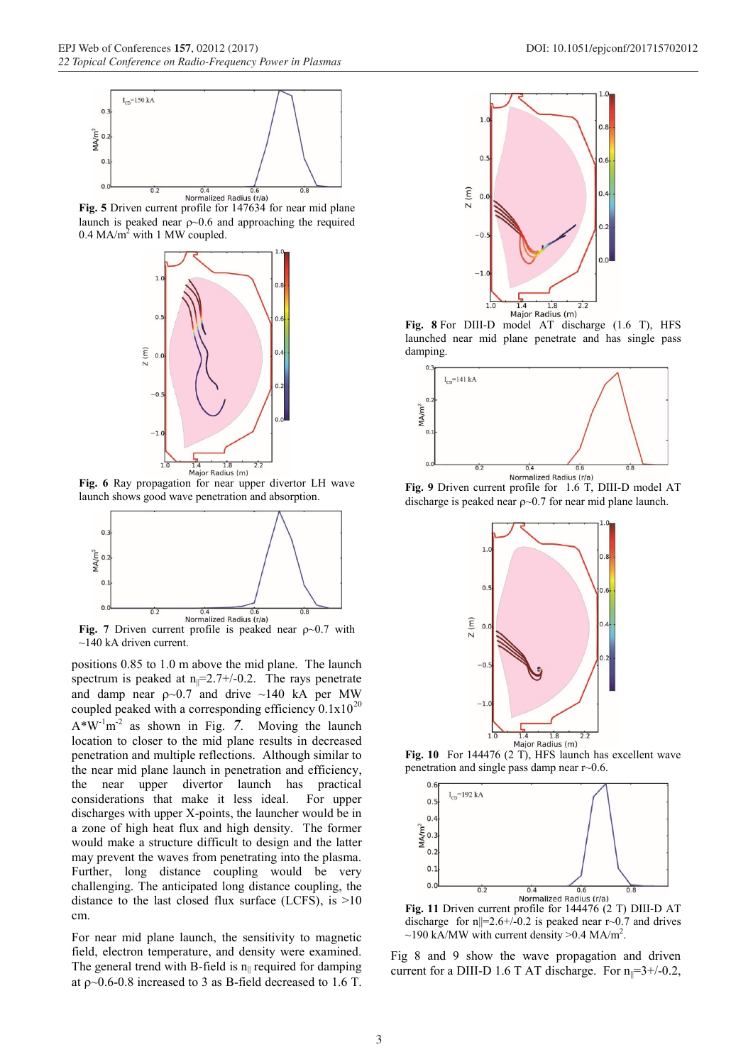

**Fig. 5** Driven current profile for 147634 for near mid plane launch is peaked near  $\rho$  ~0.6 and approaching the required  $0.4$  MA/m<sup>2</sup> with 1 MW coupled.



**Fig. 6** Ray propagation for near upper divertor LH wave launch shows good wave penetration and absorption.



**Fig.** 7 Driven current profile is peaked near  $\rho \sim 0.7$  with  $\sim$ 140 kA driven current.

positions 0.85 to 1.0 m above the mid plane. The launch spectrum is peaked at  $n_{\parallel} = 2.7 + (-0.2)$ . The rays penetrate and damp near  $\rho \sim 0.7$  and drive  $\sim 140$  kA per MW coupled peaked with a corresponding efficiency  $0.1x10^{20}$  $A*W<sup>-1</sup>m<sup>-2</sup>$  as shown in Fig. 7. Moving the launch location to closer to the mid plane results in decreased penetration and multiple reflections. Although similar to the near mid plane launch in penetration and efficiency, the near upper divertor launch has practical considerations that make it less ideal. For upper discharges with upper X-points, the launcher would be in a zone of high heat flux and high density. The former would make a structure difficult to design and the latter may prevent the waves from penetrating into the plasma. Further, long distance coupling would be very challenging. The anticipated long distance coupling, the distance to the last closed flux surface (LCFS), is  $>10$ cm.

For near mid plane launch, the sensitivity to magnetic field, electron temperature, and density were examined. The general trend with B-field is  $n_{\parallel}$  required for damping at  $p \sim 0.6$ -0.8 increased to 3 as B-field decreased to 1.6 T.



**Fig. 8** For DIII-D model AT discharge (1.6 T), HFS launched near mid plane penetrate and has single pass damping.



discharge is peaked near  $\rho$  ~0.7 for near mid plane launch.



Fig. 10 For 144476 (2 T), HFS launch has excellent wave penetration and single pass damp near r~0.6.



**Fig. 11** Driven current profile for 144476 (2 T) DIII-D AT discharge for  $n||=2.6+/0.2$  is peaked near r $\sim 0.7$  and drives  $\sim$ 190 kA/MW with current density >0.4 MA/m<sup>2</sup>.

Fig 8 and 9 show the wave propagation and driven current for a DIII-D 1.6 T AT discharge. For  $n_{\parallel} = 3 + (-0.2,$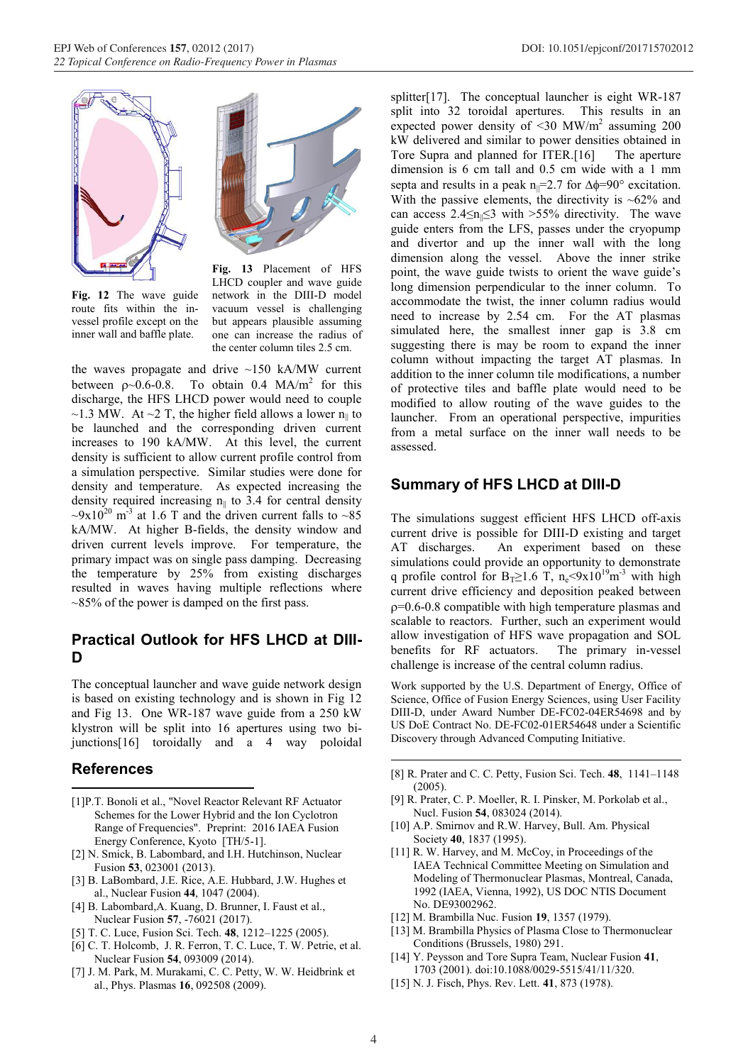



**Fig. 12** The wave guide route fits within the invessel profile except on the inner wall and baffle plate.

**Fig. 13** Placement of HFS LHCD coupler and wave guide network in the DIII-D model vacuum vessel is challenging but appears plausible assuming one can increase the radius of the center column tiles 2.5 cm.

the waves propagate and drive ~150 kA/MW current between  $p \sim 0.6 - 0.8$ . To obtain 0.4 MA/m<sup>2</sup> for this discharge, the HFS LHCD power would need to couple ~1.3 MW. At ~2 T, the higher field allows a lower  $n_{\parallel}$  to be launched and the corresponding driven current increases to 190 kA/MW. At this level, the current density is sufficient to allow current profile control from a simulation perspective. Similar studies were done for density and temperature. As expected increasing the density required increasing  $n_{\parallel}$  to 3.4 for central density  $\sim 9x10^{20}$  m<sup>-3</sup> at 1.6 T and the driven current falls to  $\sim 85$ kA/MW. At higher B-fields, the density window and driven current levels improve. For temperature, the primary impact was on single pass damping. Decreasing the temperature by 25% from existing discharges resulted in waves having multiple reflections where  $\approx$ 85% of the power is damped on the first pass.

## **Practical Outlook for HFS LHCD at DIII-D**

The conceptual launcher and wave guide network design is based on existing technology and is shown in Fig 12 and Fig 13. One WR-187 wave guide from a 250 kW klystron will be split into 16 apertures using two bijunctions[16] toroidally and a 4 way poloidal

## **References**

- [1]P.T. Bonoli et al., "Novel Reactor Relevant RF Actuator Schemes for the Lower Hybrid and the Ion Cyclotron Range of Frequencies". Preprint: 2016 IAEA Fusion Energy Conference, Kyoto [TH/5-1].
- [2] N. Smick, B. Labombard, and I.H. Hutchinson, Nuclear Fusion **53**, 023001 (2013).
- [3] B. LaBombard, J.E. Rice, A.E. Hubbard, J.W. Hughes et al., Nuclear Fusion **44**, 1047 (2004).
- [4] B. Labombard,A. Kuang, D. Brunner, I. Faust et al., Nuclear Fusion **57**, -76021 (2017).
- [5] T. C. Luce, Fusion Sci. Tech. **48**, 1212–1225 (2005).
- [6] C. T. Holcomb, J. R. Ferron, T. C. Luce, T. W. Petrie, et al. Nuclear Fusion **54**, 093009 (2014).
- [7] J. M. Park, M. Murakami, C. C. Petty, W. W. Heidbrink et al., Phys. Plasmas **16**, 092508 (2009).

splitter[17]. The conceptual launcher is eight WR-187 split into 32 toroidal apertures. This results in an expected power density of  $\leq$ 30 MW/m<sup>2</sup> assuming 200 kW delivered and similar to power densities obtained in Tore Supra and planned for ITER.[16] The aperture dimension is 6 cm tall and 0.5 cm wide with a 1 mm septa and results in a peak  $n_{\parallel} = 2.7$  for  $\Delta \phi = 90^{\circ}$  excitation. With the passive elements, the directivity is  $~62\%$  and can access  $2.4 \le n \le 3$  with >55% directivity. The wave guide enters from the LFS, passes under the cryopump and divertor and up the inner wall with the long dimension along the vessel. Above the inner strike point, the wave guide twists to orient the wave guide's long dimension perpendicular to the inner column. To accommodate the twist, the inner column radius would need to increase by 2.54 cm. For the AT plasmas simulated here, the smallest inner gap is 3.8 cm suggesting there is may be room to expand the inner column without impacting the target AT plasmas. In addition to the inner column tile modifications, a number of protective tiles and baffle plate would need to be modified to allow routing of the wave guides to the launcher. From an operational perspective, impurities from a metal surface on the inner wall needs to be assessed.

## **Summary of HFS LHCD at DIII-D**

The simulations suggest efficient HFS LHCD off-axis current drive is possible for DIII-D existing and target AT discharges. An experiment based on these simulations could provide an opportunity to demonstrate q profile control for B<sub>T</sub>≥1.6 T, n<sub>e</sub><9x10<sup>19</sup>m<sup>-3</sup> with high current drive efficiency and deposition peaked between  $p=0.6-0.8$  compatible with high temperature plasmas and scalable to reactors. Further, such an experiment would allow investigation of HFS wave propagation and SOL benefits for RF actuators. The primary in-vessel challenge is increase of the central column radius.

Work supported by the U.S. Department of Energy, Office of Science, Office of Fusion Energy Sciences, using User Facility DIII-D, under Award Number DE-FC02-04ER54698 and by US DoE Contract No. DE-FC02-01ER54648 under a Scientific Discovery through Advanced Computing Initiative.

- [8] R. Prater and C. C. Petty, Fusion Sci. Tech. **48**, 1141–<sup>1148</sup>  $(2005)$
- [9] R. Prater, C. P. Moeller, R. I. Pinsker, M. Porkolab et al., Nucl. Fusion **54**, 083024 (2014).
- [10] A.P. Smirnov and R.W. Harvey, Bull. Am. Physical Society **40**, 1837 (1995).
- [11] R. W. Harvey, and M. McCoy, in Proceedings of the IAEA Technical Committee Meeting on Simulation and Modeling of Thermonuclear Plasmas, Montreal, Canada, 1992 (IAEA, Vienna, 1992), US DOC NTIS Document No. DE93002962.
- [12] M. Brambilla Nuc. Fusion **19**, 1357 (1979).
- [13] M. Brambilla Physics of Plasma Close to Thermonuclear Conditions (Brussels, 1980) 291.
- [14] Y. Peysson and Tore Supra Team, Nuclear Fusion **41**, 1703 (2001). doi:10.1088/0029-5515/41/11/320.
- [15] N. J. Fisch, Phys. Rev. Lett. **41**, 873 (1978).